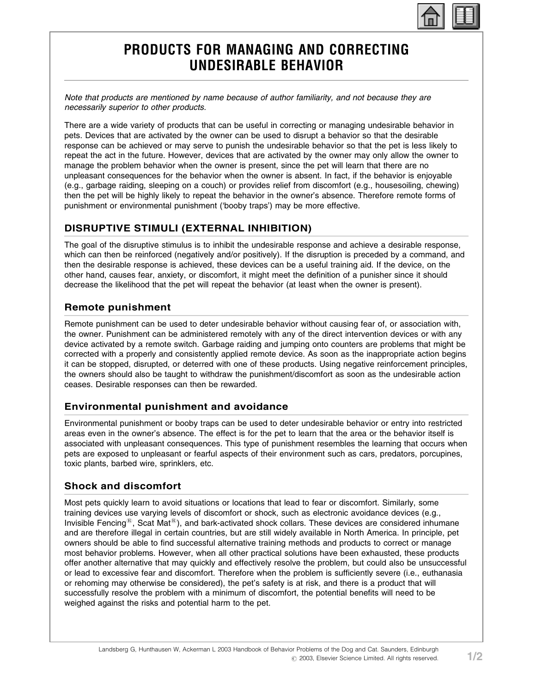

# PRODUCTS FOR MANAGING AND CORRECTING UNDESIRABLE BEHAVIOR

Note that products are mentioned by name because of author familiarity, and not because they are necessarily superior to other products.

There are a wide variety of products that can be useful in correcting or managing undesirable behavior in pets. Devices that are activated by the owner can be used to disrupt a behavior so that the desirable response can be achieved or may serve to punish the undesirable behavior so that the pet is less likely to repeat the act in the future. However, devices that are activated by the owner may only allow the owner to manage the problem behavior when the owner is present, since the pet will learn that there are no unpleasant consequences for the behavior when the owner is absent. In fact, if the behavior is enjoyable (e.g., garbage raiding, sleeping on a couch) or provides relief from discomfort (e.g., housesoiling, chewing) then the pet will be highly likely to repeat the behavior in the owner's absence. Therefore remote forms of punishment or environmental punishment ('booby traps') may be more effective.

## DISRUPTIVE STIMULI (EXTERNAL INHIBITION)

The goal of the disruptive stimulus is to inhibit the undesirable response and achieve a desirable response, which can then be reinforced (negatively and/or positively). If the disruption is preceded by a command, and then the desirable response is achieved, these devices can be a useful training aid. If the device, on the other hand, causes fear, anxiety, or discomfort, it might meet the definition of a punisher since it should decrease the likelihood that the pet will repeat the behavior (at least when the owner is present).

#### Remote punishment

Remote punishment can be used to deter undesirable behavior without causing fear of, or association with, the owner. Punishment can be administered remotely with any of the direct intervention devices or with any device activated by a remote switch. Garbage raiding and jumping onto counters are problems that might be corrected with a properly and consistently applied remote device. As soon as the inappropriate action begins it can be stopped, disrupted, or deterred with one of these products. Using negative reinforcement principles, the owners should also be taught to withdraw the punishment/discomfort as soon as the undesirable action ceases. Desirable responses can then be rewarded.

### Environmental punishment and avoidance

Environmental punishment or booby traps can be used to deter undesirable behavior or entry into restricted areas even in the owner's absence. The effect is for the pet to learn that the area or the behavior itself is associated with unpleasant consequences. This type of punishment resembles the learning that occurs when pets are exposed to unpleasant or fearful aspects of their environment such as cars, predators, porcupines, toxic plants, barbed wire, sprinklers, etc.

### Shock and discomfort

Most pets quickly learn to avoid situations or locations that lead to fear or discomfort. Similarly, some training devices use varying levels of discomfort or shock, such as electronic avoidance devices (e.g., Invisible Fencing<sup> $E$ </sup>, Scat Mat $E$ ), and bark-activated shock collars. These devices are considered inhumane and are therefore illegal in certain countries, but are still widely available in North America. In principle, pet owners should be able to find successful alternative training methods and products to correct or manage most behavior problems. However, when all other practical solutions have been exhausted, these products offer another alternative that may quickly and effectively resolve the problem, but could also be unsuccessful or lead to excessive fear and discomfort. Therefore when the problem is sufficiently severe (i.e., euthanasia or rehoming may otherwise be considered), the pet's safety is at risk, and there is a product that will successfully resolve the problem with a minimum of discomfort, the potential benefits will need to be weighed against the risks and potential harm to the pet.